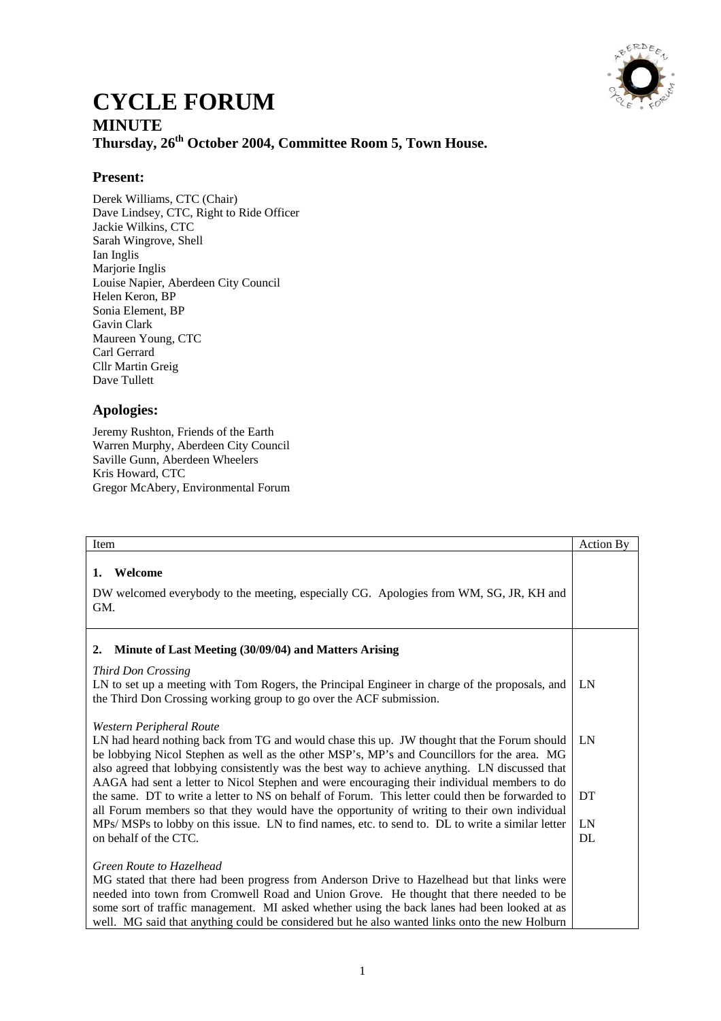

## **CYCLE FORUM MINUTE Thursday, 26th October 2004, Committee Room 5, Town House.**

## **Present:**

Derek Williams, CTC (Chair) Dave Lindsey, CTC, Right to Ride Officer Jackie Wilkins, CTC Sarah Wingrove, Shell Ian Inglis Marjorie Inglis Louise Napier, Aberdeen City Council Helen Keron, BP Sonia Element, BP Gavin Clark Maureen Young, CTC Carl Gerrard Cllr Martin Greig Dave Tullett

## **Apologies:**

Jeremy Rushton, Friends of the Earth Warren Murphy, Aberdeen City Council Saville Gunn, Aberdeen Wheelers Kris Howard, CTC Gregor McAbery, Environmental Forum

| Item                                                                                                                                                                                                                                                                                                                                                                                                                | Action By |
|---------------------------------------------------------------------------------------------------------------------------------------------------------------------------------------------------------------------------------------------------------------------------------------------------------------------------------------------------------------------------------------------------------------------|-----------|
| Welcome<br>1.<br>DW welcomed everybody to the meeting, especially CG. Apologies from WM, SG, JR, KH and<br>GM.                                                                                                                                                                                                                                                                                                      |           |
| Minute of Last Meeting (30/09/04) and Matters Arising<br>2.                                                                                                                                                                                                                                                                                                                                                         |           |
| <b>Third Don Crossing</b><br>LN to set up a meeting with Tom Rogers, the Principal Engineer in charge of the proposals, and<br>the Third Don Crossing working group to go over the ACF submission.                                                                                                                                                                                                                  | LN        |
| Western Peripheral Route<br>LN had heard nothing back from TG and would chase this up. JW thought that the Forum should<br>be lobbying Nicol Stephen as well as the other MSP's, MP's and Councillors for the area. MG<br>also agreed that lobbying consistently was the best way to achieve anything. LN discussed that                                                                                            | LN        |
| AAGA had sent a letter to Nicol Stephen and were encouraging their individual members to do<br>the same. DT to write a letter to NS on behalf of Forum. This letter could then be forwarded to<br>all Forum members so that they would have the opportunity of writing to their own individual                                                                                                                      | DT        |
| MPs/ MSPs to lobby on this issue. LN to find names, etc. to send to. DL to write a similar letter<br>on behalf of the CTC.                                                                                                                                                                                                                                                                                          | LN<br>DL  |
| Green Route to Hazelhead<br>MG stated that there had been progress from Anderson Drive to Hazelhead but that links were<br>needed into town from Cromwell Road and Union Grove. He thought that there needed to be<br>some sort of traffic management. MI asked whether using the back lanes had been looked at as<br>well. MG said that anything could be considered but he also wanted links onto the new Holburn |           |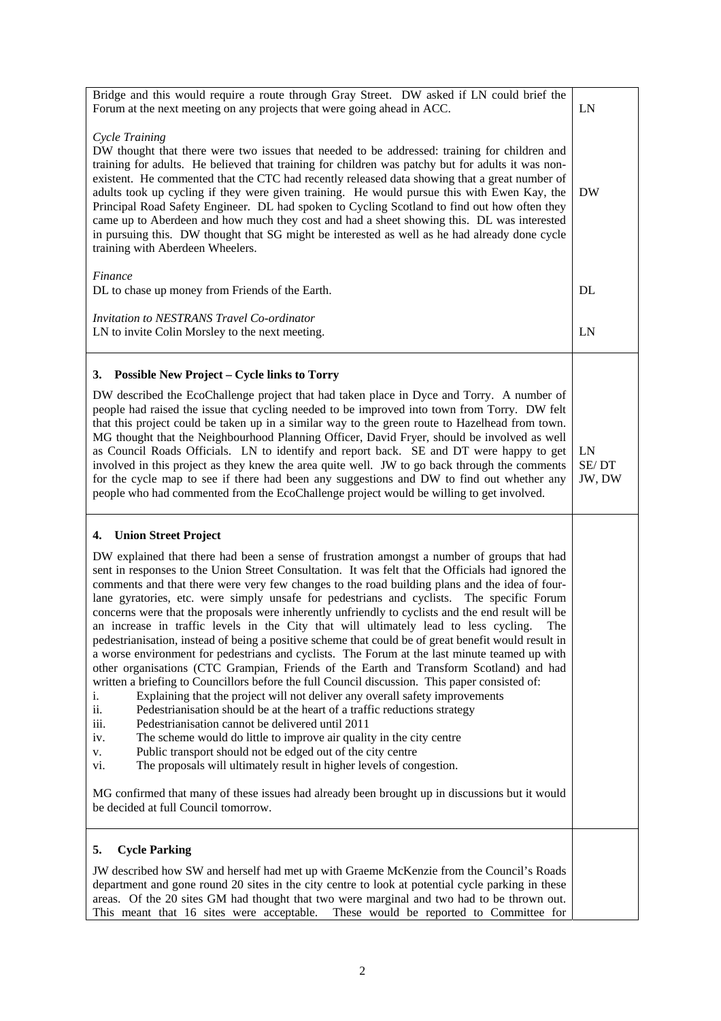| Bridge and this would require a route through Gray Street. DW asked if LN could brief the<br>Forum at the next meeting on any projects that were going ahead in ACC.                                                                                                                                                                                                                                                                                                                                                                                                                                                                                                                                                                                                                                                                                                                                                                                                                                                                                                                                                                                                                                                                                                                                                                                                                                                                                                                                                                                                                                                           | LN                    |
|--------------------------------------------------------------------------------------------------------------------------------------------------------------------------------------------------------------------------------------------------------------------------------------------------------------------------------------------------------------------------------------------------------------------------------------------------------------------------------------------------------------------------------------------------------------------------------------------------------------------------------------------------------------------------------------------------------------------------------------------------------------------------------------------------------------------------------------------------------------------------------------------------------------------------------------------------------------------------------------------------------------------------------------------------------------------------------------------------------------------------------------------------------------------------------------------------------------------------------------------------------------------------------------------------------------------------------------------------------------------------------------------------------------------------------------------------------------------------------------------------------------------------------------------------------------------------------------------------------------------------------|-----------------------|
| Cycle Training<br>DW thought that there were two issues that needed to be addressed: training for children and<br>training for adults. He believed that training for children was patchy but for adults it was non-<br>existent. He commented that the CTC had recently released data showing that a great number of<br>adults took up cycling if they were given training. He would pursue this with Ewen Kay, the<br>Principal Road Safety Engineer. DL had spoken to Cycling Scotland to find out how often they<br>came up to Aberdeen and how much they cost and had a sheet showing this. DL was interested<br>in pursuing this. DW thought that SG might be interested as well as he had already done cycle<br>training with Aberdeen Wheelers.                                                                                                                                                                                                                                                                                                                                                                                                                                                                                                                                                                                                                                                                                                                                                                                                                                                                         | <b>DW</b>             |
| <b>Finance</b><br>DL to chase up money from Friends of the Earth.                                                                                                                                                                                                                                                                                                                                                                                                                                                                                                                                                                                                                                                                                                                                                                                                                                                                                                                                                                                                                                                                                                                                                                                                                                                                                                                                                                                                                                                                                                                                                              | DL                    |
| Invitation to NESTRANS Travel Co-ordinator<br>LN to invite Colin Morsley to the next meeting.                                                                                                                                                                                                                                                                                                                                                                                                                                                                                                                                                                                                                                                                                                                                                                                                                                                                                                                                                                                                                                                                                                                                                                                                                                                                                                                                                                                                                                                                                                                                  | LN                    |
| <b>Possible New Project - Cycle links to Torry</b><br>3.                                                                                                                                                                                                                                                                                                                                                                                                                                                                                                                                                                                                                                                                                                                                                                                                                                                                                                                                                                                                                                                                                                                                                                                                                                                                                                                                                                                                                                                                                                                                                                       |                       |
| DW described the EcoChallenge project that had taken place in Dyce and Torry. A number of<br>people had raised the issue that cycling needed to be improved into town from Torry. DW felt<br>that this project could be taken up in a similar way to the green route to Hazelhead from town.<br>MG thought that the Neighbourhood Planning Officer, David Fryer, should be involved as well<br>as Council Roads Officials. LN to identify and report back. SE and DT were happy to get<br>involved in this project as they knew the area quite well. JW to go back through the comments<br>for the cycle map to see if there had been any suggestions and DW to find out whether any<br>people who had commented from the EcoChallenge project would be willing to get involved.                                                                                                                                                                                                                                                                                                                                                                                                                                                                                                                                                                                                                                                                                                                                                                                                                                               | LN<br>SE/DT<br>JW, DW |
| <b>Union Street Project</b><br>4.                                                                                                                                                                                                                                                                                                                                                                                                                                                                                                                                                                                                                                                                                                                                                                                                                                                                                                                                                                                                                                                                                                                                                                                                                                                                                                                                                                                                                                                                                                                                                                                              |                       |
| DW explained that there had been a sense of frustration amongst a number of groups that had<br>sent in responses to the Union Street Consultation. It was felt that the Officials had ignored the<br>comments and that there were very few changes to the road building plans and the idea of four-<br>lane gyratories, etc. were simply unsafe for pedestrians and cyclists. The specific Forum<br>concerns were that the proposals were inherently unfriendly to cyclists and the end result will be<br>an increase in traffic levels in the City that will ultimately lead to less cycling.<br>The<br>pedestrianisation, instead of being a positive scheme that could be of great benefit would result in<br>a worse environment for pedestrians and cyclists. The Forum at the last minute teamed up with<br>other organisations (CTC Grampian, Friends of the Earth and Transform Scotland) and had<br>written a briefing to Councillors before the full Council discussion. This paper consisted of:<br>Explaining that the project will not deliver any overall safety improvements<br>i.<br>ii.<br>Pedestrianisation should be at the heart of a traffic reductions strategy<br>iii.<br>Pedestrianisation cannot be delivered until 2011<br>The scheme would do little to improve air quality in the city centre<br>iv.<br>Public transport should not be edged out of the city centre<br>V.<br>The proposals will ultimately result in higher levels of congestion.<br>vi.<br>MG confirmed that many of these issues had already been brought up in discussions but it would<br>be decided at full Council tomorrow. |                       |
| <b>Cycle Parking</b><br>5.                                                                                                                                                                                                                                                                                                                                                                                                                                                                                                                                                                                                                                                                                                                                                                                                                                                                                                                                                                                                                                                                                                                                                                                                                                                                                                                                                                                                                                                                                                                                                                                                     |                       |
| JW described how SW and herself had met up with Graeme McKenzie from the Council's Roads<br>department and gone round 20 sites in the city centre to look at potential cycle parking in these<br>areas. Of the 20 sites GM had thought that two were marginal and two had to be thrown out.<br>This meant that 16 sites were acceptable.<br>These would be reported to Committee for                                                                                                                                                                                                                                                                                                                                                                                                                                                                                                                                                                                                                                                                                                                                                                                                                                                                                                                                                                                                                                                                                                                                                                                                                                           |                       |